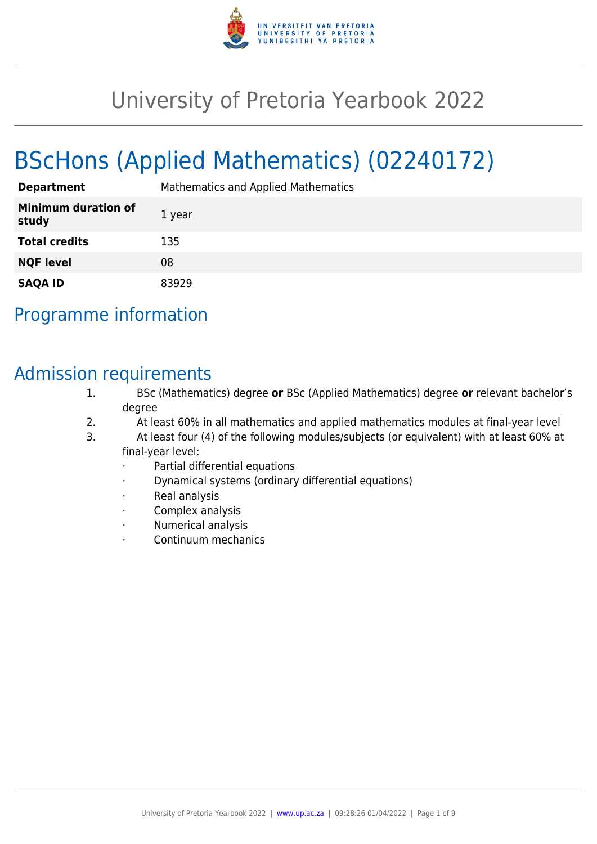

# University of Pretoria Yearbook 2022

# BScHons (Applied Mathematics) (02240172)

| <b>Department</b>                   | Mathematics and Applied Mathematics |
|-------------------------------------|-------------------------------------|
| <b>Minimum duration of</b><br>study | 1 year                              |
| <b>Total credits</b>                | 135                                 |
| <b>NQF level</b>                    | 08                                  |
| <b>SAQA ID</b>                      | 83929                               |

# Programme information

# Admission requirements

- 1. BSc (Mathematics) degree **or** BSc (Applied Mathematics) degree **or** relevant bachelor's degree
- 2. At least 60% in all mathematics and applied mathematics modules at final-year level
- 3. At least four (4) of the following modules/subjects (or equivalent) with at least 60% at final-year level:
	- Partial differential equations
	- · Dynamical systems (ordinary differential equations)
	- Real analysis
	- Complex analysis
	- · Numerical analysis
	- · Continuum mechanics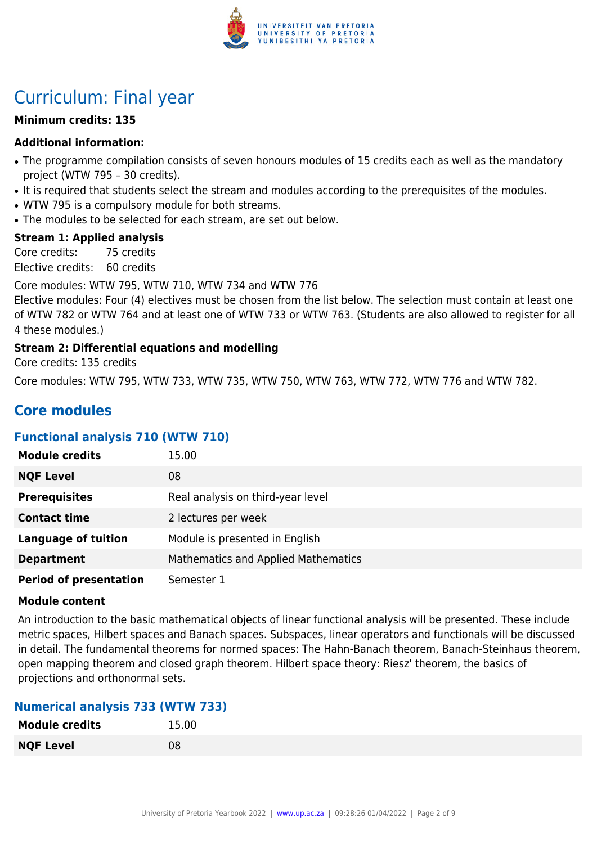

# Curriculum: Final year

# **Minimum credits: 135**

# **Additional information:**

- The programme compilation consists of seven honours modules of 15 credits each as well as the mandatory project (WTW 795 – 30 credits).
- It is required that students select the stream and modules according to the prerequisites of the modules.
- WTW 795 is a compulsory module for both streams.
- The modules to be selected for each stream, are set out below.

# **Stream 1: Applied analysis**

Core credits: 75 credits Elective credits: 60 credits

Core modules: WTW 795, WTW 710, WTW 734 and WTW 776

Elective modules: Four (4) electives must be chosen from the list below. The selection must contain at least one of WTW 782 or WTW 764 and at least one of WTW 733 or WTW 763. (Students are also allowed to register for all 4 these modules.)

# **Stream 2: Differential equations and modelling**

Core credits: 135 credits

Core modules: WTW 795, WTW 733, WTW 735, WTW 750, WTW 763, WTW 772, WTW 776 and WTW 782.

# **Core modules**

# **Functional analysis 710 (WTW 710)**

| <b>Module credits</b>         | 15.00                               |
|-------------------------------|-------------------------------------|
| <b>NQF Level</b>              | 08                                  |
| <b>Prerequisites</b>          | Real analysis on third-year level   |
| <b>Contact time</b>           | 2 lectures per week                 |
| <b>Language of tuition</b>    | Module is presented in English      |
| <b>Department</b>             | Mathematics and Applied Mathematics |
| <b>Period of presentation</b> | Semester 1                          |

# **Module content**

An introduction to the basic mathematical objects of linear functional analysis will be presented. These include metric spaces, Hilbert spaces and Banach spaces. Subspaces, linear operators and functionals will be discussed in detail. The fundamental theorems for normed spaces: The Hahn-Banach theorem, Banach-Steinhaus theorem, open mapping theorem and closed graph theorem. Hilbert space theory: Riesz' theorem, the basics of projections and orthonormal sets.

# **Numerical analysis 733 (WTW 733)**

| <b>Module credits</b> | 15.00 |
|-----------------------|-------|
| <b>NQF Level</b>      | 08    |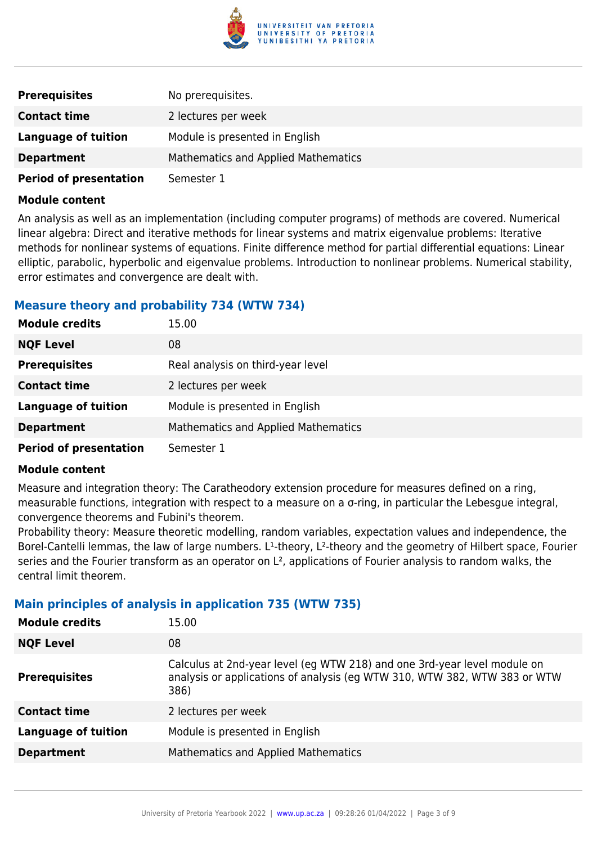

| <b>Prerequisites</b>          | No prerequisites.                          |
|-------------------------------|--------------------------------------------|
| <b>Contact time</b>           | 2 lectures per week                        |
| Language of tuition           | Module is presented in English             |
| <b>Department</b>             | <b>Mathematics and Applied Mathematics</b> |
| <b>Period of presentation</b> | Semester 1                                 |

An analysis as well as an implementation (including computer programs) of methods are covered. Numerical linear algebra: Direct and iterative methods for linear systems and matrix eigenvalue problems: Iterative methods for nonlinear systems of equations. Finite difference method for partial differential equations: Linear elliptic, parabolic, hyperbolic and eigenvalue problems. Introduction to nonlinear problems. Numerical stability, error estimates and convergence are dealt with.

# **Measure theory and probability 734 (WTW 734)**

| <b>Module credits</b>         | 15.00                               |
|-------------------------------|-------------------------------------|
| <b>NQF Level</b>              | 08                                  |
| <b>Prerequisites</b>          | Real analysis on third-year level   |
| <b>Contact time</b>           | 2 lectures per week                 |
| <b>Language of tuition</b>    | Module is presented in English      |
| <b>Department</b>             | Mathematics and Applied Mathematics |
| <b>Period of presentation</b> | Semester 1                          |

#### **Module content**

Measure and integration theory: The Caratheodory extension procedure for measures defined on a ring, measurable functions, integration with respect to a measure on a σ-ring, in particular the Lebesgue integral, convergence theorems and Fubini's theorem.

Probability theory: Measure theoretic modelling, random variables, expectation values and independence, the Borel-Cantelli lemmas, the law of large numbers. L<sup>1</sup>-theory, L<sup>2</sup>-theory and the geometry of Hilbert space, Fourier series and the Fourier transform as an operator on L<sup>2</sup>, applications of Fourier analysis to random walks, the central limit theorem.

# **Main principles of analysis in application 735 (WTW 735)**

| <b>Module credits</b>      | 15.00                                                                                                                                                         |
|----------------------------|---------------------------------------------------------------------------------------------------------------------------------------------------------------|
| <b>NQF Level</b>           | 08                                                                                                                                                            |
| <b>Prerequisites</b>       | Calculus at 2nd-year level (eg WTW 218) and one 3rd-year level module on<br>analysis or applications of analysis (eq WTW 310, WTW 382, WTW 383 or WTW<br>386) |
| <b>Contact time</b>        | 2 lectures per week                                                                                                                                           |
| <b>Language of tuition</b> | Module is presented in English                                                                                                                                |
| <b>Department</b>          | Mathematics and Applied Mathematics                                                                                                                           |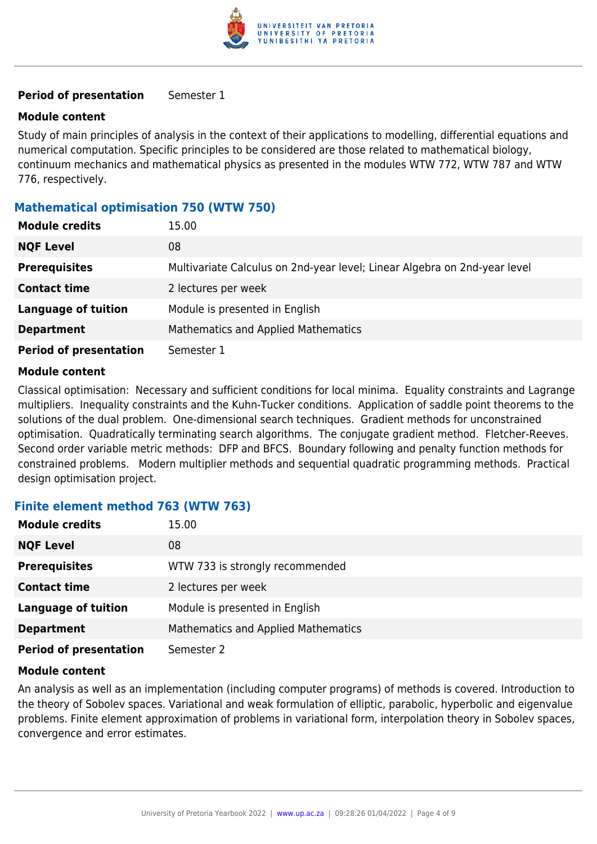

#### **Period of presentation** Semester 1

#### **Module content**

Study of main principles of analysis in the context of their applications to modelling, differential equations and numerical computation. Specific principles to be considered are those related to mathematical biology, continuum mechanics and mathematical physics as presented in the modules WTW 772, WTW 787 and WTW 776, respectively.

# **Mathematical optimisation 750 (WTW 750)**

| <b>Module credits</b>         | 15.00                                                                     |
|-------------------------------|---------------------------------------------------------------------------|
| <b>NQF Level</b>              | 08                                                                        |
| <b>Prerequisites</b>          | Multivariate Calculus on 2nd-year level; Linear Algebra on 2nd-year level |
| <b>Contact time</b>           | 2 lectures per week                                                       |
| <b>Language of tuition</b>    | Module is presented in English                                            |
| <b>Department</b>             | Mathematics and Applied Mathematics                                       |
| <b>Period of presentation</b> | Semester 1                                                                |

#### **Module content**

Classical optimisation: Necessary and sufficient conditions for local minima. Equality constraints and Lagrange multipliers. Inequality constraints and the Kuhn-Tucker conditions. Application of saddle point theorems to the solutions of the dual problem. One-dimensional search techniques. Gradient methods for unconstrained optimisation. Quadratically terminating search algorithms. The conjugate gradient method. Fletcher-Reeves. Second order variable metric methods: DFP and BFCS. Boundary following and penalty function methods for constrained problems. Modern multiplier methods and sequential quadratic programming methods. Practical design optimisation project.

# **Finite element method 763 (WTW 763)**

| <b>Module credits</b>         | 15.00                                      |
|-------------------------------|--------------------------------------------|
| <b>NQF Level</b>              | 08                                         |
| <b>Prerequisites</b>          | WTW 733 is strongly recommended            |
| <b>Contact time</b>           | 2 lectures per week                        |
| <b>Language of tuition</b>    | Module is presented in English             |
| <b>Department</b>             | <b>Mathematics and Applied Mathematics</b> |
| <b>Period of presentation</b> | Semester 2                                 |

#### **Module content**

An analysis as well as an implementation (including computer programs) of methods is covered. Introduction to the theory of Sobolev spaces. Variational and weak formulation of elliptic, parabolic, hyperbolic and eigenvalue problems. Finite element approximation of problems in variational form, interpolation theory in Sobolev spaces, convergence and error estimates.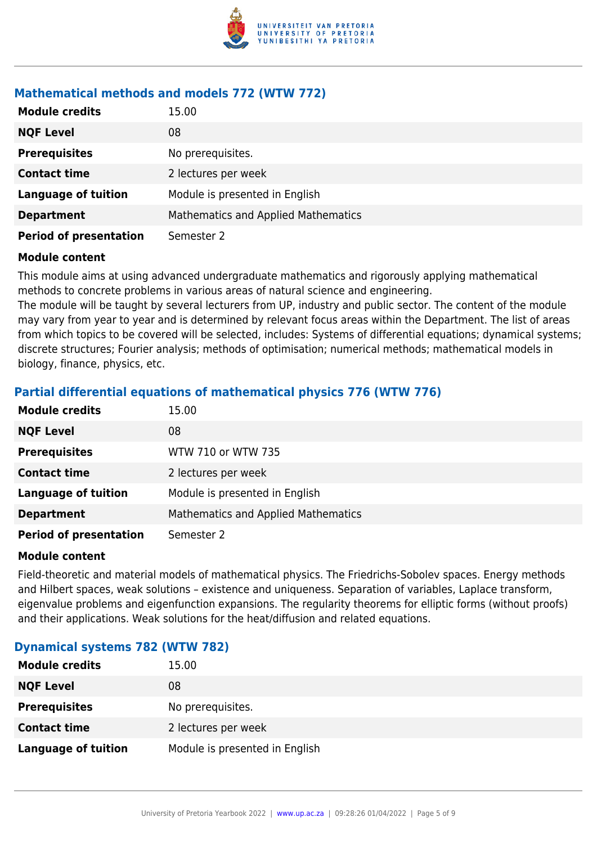

# **Mathematical methods and models 772 (WTW 772)**

| <b>Module credits</b>         | 15.00                                      |
|-------------------------------|--------------------------------------------|
| <b>NQF Level</b>              | 08                                         |
| <b>Prerequisites</b>          | No prerequisites.                          |
| <b>Contact time</b>           | 2 lectures per week                        |
| <b>Language of tuition</b>    | Module is presented in English             |
| <b>Department</b>             | <b>Mathematics and Applied Mathematics</b> |
| <b>Period of presentation</b> | Semester 2                                 |

#### **Module content**

This module aims at using advanced undergraduate mathematics and rigorously applying mathematical methods to concrete problems in various areas of natural science and engineering.

The module will be taught by several lecturers from UP, industry and public sector. The content of the module may vary from year to year and is determined by relevant focus areas within the Department. The list of areas from which topics to be covered will be selected, includes: Systems of differential equations; dynamical systems; discrete structures; Fourier analysis; methods of optimisation; numerical methods; mathematical models in biology, finance, physics, etc.

# **Partial differential equations of mathematical physics 776 (WTW 776)**

| <b>Module credits</b>         | 15.00                                      |
|-------------------------------|--------------------------------------------|
| <b>NQF Level</b>              | 08                                         |
| <b>Prerequisites</b>          | WTW 710 or WTW 735                         |
| <b>Contact time</b>           | 2 lectures per week                        |
| <b>Language of tuition</b>    | Module is presented in English             |
| <b>Department</b>             | <b>Mathematics and Applied Mathematics</b> |
| <b>Period of presentation</b> | Semester 2                                 |

#### **Module content**

Field-theoretic and material models of mathematical physics. The Friedrichs-Sobolev spaces. Energy methods and Hilbert spaces, weak solutions – existence and uniqueness. Separation of variables, Laplace transform, eigenvalue problems and eigenfunction expansions. The regularity theorems for elliptic forms (without proofs) and their applications. Weak solutions for the heat/diffusion and related equations.

# **Dynamical systems 782 (WTW 782)**

| <b>Module credits</b> | 15.00                          |
|-----------------------|--------------------------------|
| <b>NQF Level</b>      | 08                             |
| <b>Prerequisites</b>  | No prerequisites.              |
| <b>Contact time</b>   | 2 lectures per week            |
| Language of tuition   | Module is presented in English |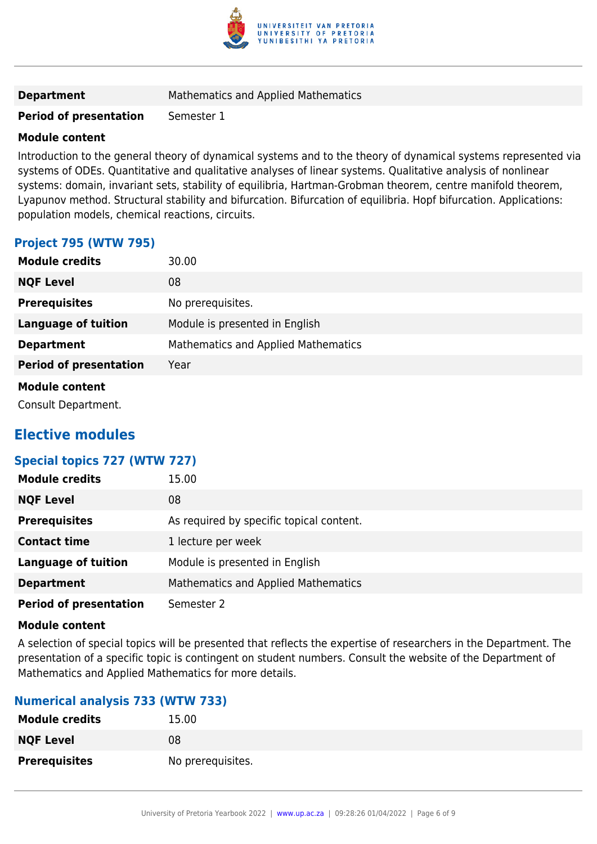

# **Department** Mathematics and Applied Mathematics

# **Period of presentation** Semester 1

#### **Module content**

Introduction to the general theory of dynamical systems and to the theory of dynamical systems represented via systems of ODEs. Quantitative and qualitative analyses of linear systems. Qualitative analysis of nonlinear systems: domain, invariant sets, stability of equilibria, Hartman-Grobman theorem, centre manifold theorem, Lyapunov method. Structural stability and bifurcation. Bifurcation of equilibria. Hopf bifurcation. Applications: population models, chemical reactions, circuits.

# **Project 795 (WTW 795)**

| <b>Module credits</b>         | 30.00                                      |
|-------------------------------|--------------------------------------------|
| <b>NQF Level</b>              | 08                                         |
| <b>Prerequisites</b>          | No prerequisites.                          |
| <b>Language of tuition</b>    | Module is presented in English             |
| <b>Department</b>             | <b>Mathematics and Applied Mathematics</b> |
| <b>Period of presentation</b> | Year                                       |
| <b>Module content</b>         |                                            |
|                               |                                            |

Consult Department.

# **Elective modules**

# **Special topics 727 (WTW 727)**

| <b>Module credits</b>         | 15.00                                      |
|-------------------------------|--------------------------------------------|
| <b>NQF Level</b>              | 08                                         |
| <b>Prerequisites</b>          | As required by specific topical content.   |
| <b>Contact time</b>           | 1 lecture per week                         |
| <b>Language of tuition</b>    | Module is presented in English             |
| <b>Department</b>             | <b>Mathematics and Applied Mathematics</b> |
| <b>Period of presentation</b> | Semester 2                                 |

#### **Module content**

A selection of special topics will be presented that reflects the expertise of researchers in the Department. The presentation of a specific topic is contingent on student numbers. Consult the website of the Department of Mathematics and Applied Mathematics for more details.

# **Numerical analysis 733 (WTW 733)**

| <b>Module credits</b> | 15.00             |
|-----------------------|-------------------|
| <b>NQF Level</b>      | 08                |
| <b>Prerequisites</b>  | No prerequisites. |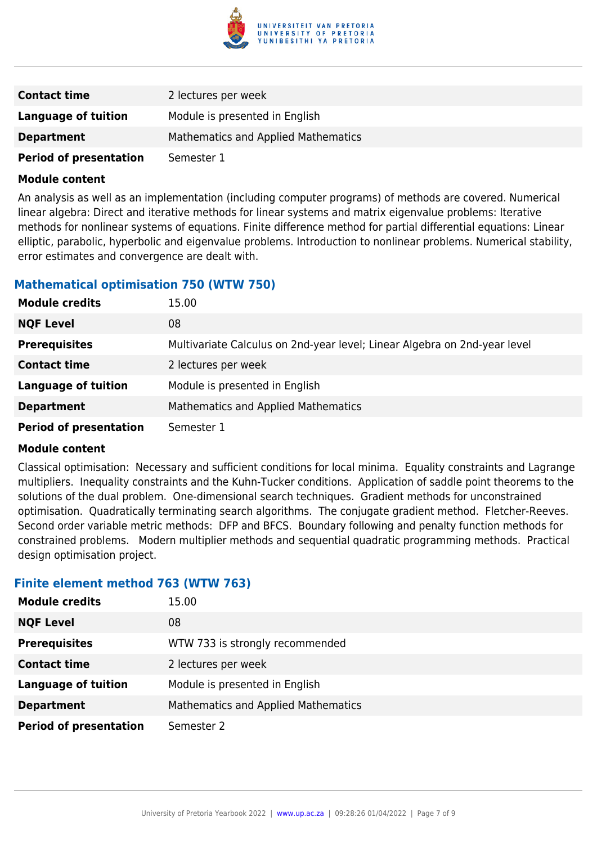

| <b>Contact time</b>           | 2 lectures per week                 |
|-------------------------------|-------------------------------------|
| Language of tuition           | Module is presented in English      |
| <b>Department</b>             | Mathematics and Applied Mathematics |
| <b>Period of presentation</b> | Semester 1                          |

An analysis as well as an implementation (including computer programs) of methods are covered. Numerical linear algebra: Direct and iterative methods for linear systems and matrix eigenvalue problems: Iterative methods for nonlinear systems of equations. Finite difference method for partial differential equations: Linear elliptic, parabolic, hyperbolic and eigenvalue problems. Introduction to nonlinear problems. Numerical stability, error estimates and convergence are dealt with.

# **Mathematical optimisation 750 (WTW 750)**

| <b>Module credits</b>         | 15.00                                                                     |
|-------------------------------|---------------------------------------------------------------------------|
| <b>NQF Level</b>              | 08                                                                        |
| <b>Prerequisites</b>          | Multivariate Calculus on 2nd-year level; Linear Algebra on 2nd-year level |
| <b>Contact time</b>           | 2 lectures per week                                                       |
| <b>Language of tuition</b>    | Module is presented in English                                            |
| <b>Department</b>             | Mathematics and Applied Mathematics                                       |
| <b>Period of presentation</b> | Semester 1                                                                |

#### **Module content**

Classical optimisation: Necessary and sufficient conditions for local minima. Equality constraints and Lagrange multipliers. Inequality constraints and the Kuhn-Tucker conditions. Application of saddle point theorems to the solutions of the dual problem. One-dimensional search techniques. Gradient methods for unconstrained optimisation. Quadratically terminating search algorithms. The conjugate gradient method. Fletcher-Reeves. Second order variable metric methods: DFP and BFCS. Boundary following and penalty function methods for constrained problems. Modern multiplier methods and sequential quadratic programming methods. Practical design optimisation project.

# **Finite element method 763 (WTW 763)**

| <b>Module credits</b>         | 15.00                               |
|-------------------------------|-------------------------------------|
| <b>NQF Level</b>              | 08                                  |
| <b>Prerequisites</b>          | WTW 733 is strongly recommended     |
| <b>Contact time</b>           | 2 lectures per week                 |
| <b>Language of tuition</b>    | Module is presented in English      |
| <b>Department</b>             | Mathematics and Applied Mathematics |
| <b>Period of presentation</b> | Semester 2                          |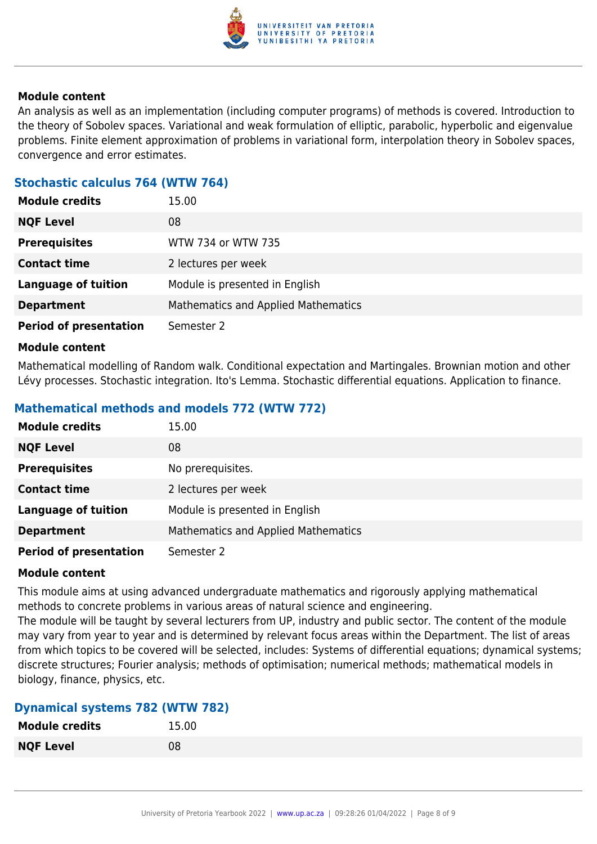

An analysis as well as an implementation (including computer programs) of methods is covered. Introduction to the theory of Sobolev spaces. Variational and weak formulation of elliptic, parabolic, hyperbolic and eigenvalue problems. Finite element approximation of problems in variational form, interpolation theory in Sobolev spaces, convergence and error estimates.

# **Stochastic calculus 764 (WTW 764)**

| <b>Module credits</b>         | 15.00                                      |
|-------------------------------|--------------------------------------------|
| <b>NQF Level</b>              | 08                                         |
| <b>Prerequisites</b>          | WTW 734 or WTW 735                         |
| <b>Contact time</b>           | 2 lectures per week                        |
| <b>Language of tuition</b>    | Module is presented in English             |
| <b>Department</b>             | <b>Mathematics and Applied Mathematics</b> |
| <b>Period of presentation</b> | Semester 2                                 |

#### **Module content**

Mathematical modelling of Random walk. Conditional expectation and Martingales. Brownian motion and other Lévy processes. Stochastic integration. Ito's Lemma. Stochastic differential equations. Application to finance.

# **Mathematical methods and models 772 (WTW 772)**

| <b>Module credits</b>         | 15.00                                      |
|-------------------------------|--------------------------------------------|
| <b>NQF Level</b>              | 08                                         |
| <b>Prerequisites</b>          | No prerequisites.                          |
| <b>Contact time</b>           | 2 lectures per week                        |
| <b>Language of tuition</b>    | Module is presented in English             |
| <b>Department</b>             | <b>Mathematics and Applied Mathematics</b> |
| <b>Period of presentation</b> | Semester 2                                 |

# **Module content**

This module aims at using advanced undergraduate mathematics and rigorously applying mathematical methods to concrete problems in various areas of natural science and engineering.

The module will be taught by several lecturers from UP, industry and public sector. The content of the module may vary from year to year and is determined by relevant focus areas within the Department. The list of areas from which topics to be covered will be selected, includes: Systems of differential equations; dynamical systems; discrete structures; Fourier analysis; methods of optimisation; numerical methods; mathematical models in biology, finance, physics, etc.

# **Dynamical systems 782 (WTW 782)**

| <b>Module credits</b> | 15.00 |
|-----------------------|-------|
| <b>NQF Level</b>      | 08    |